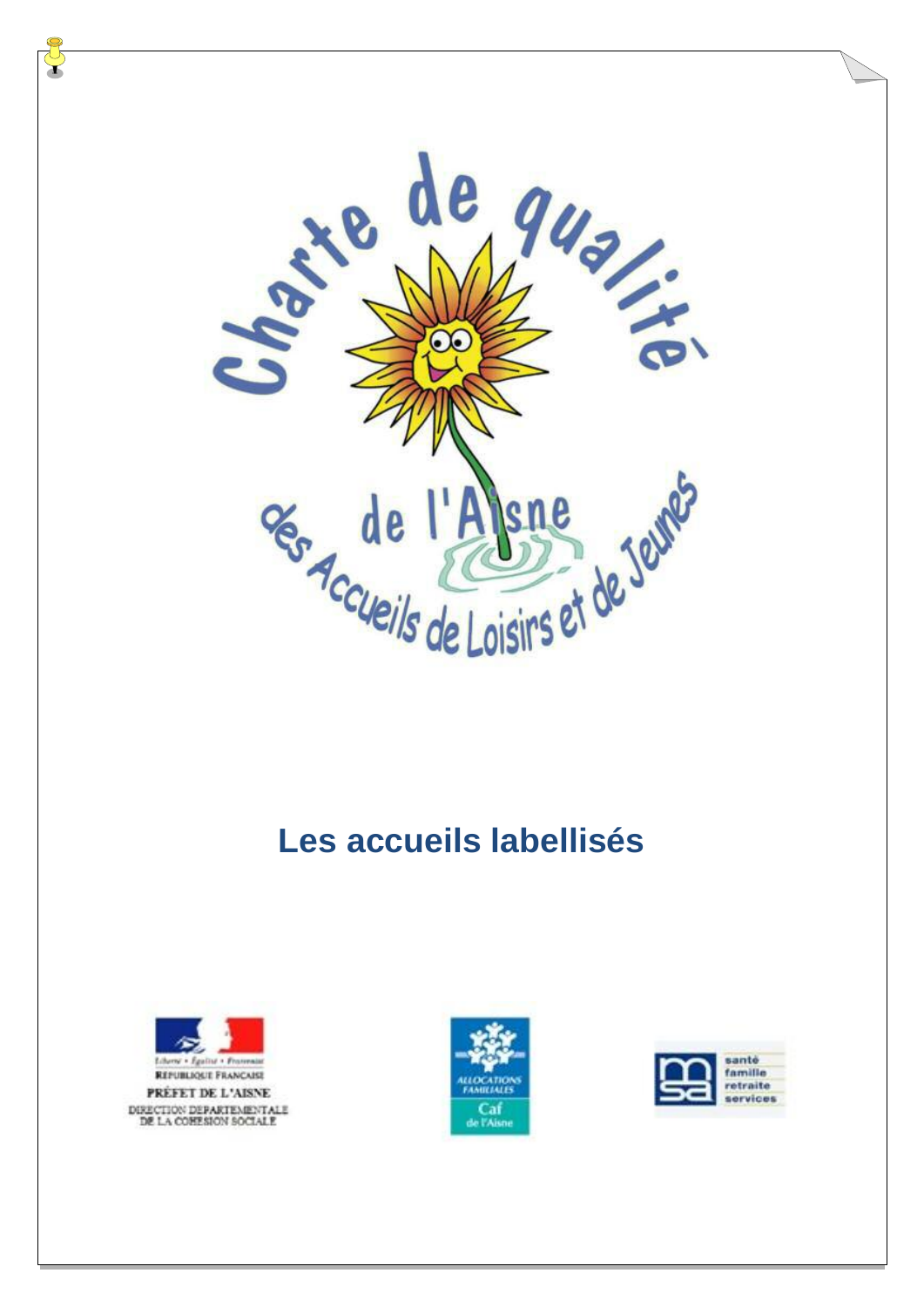

## **Les accueils labellisés**





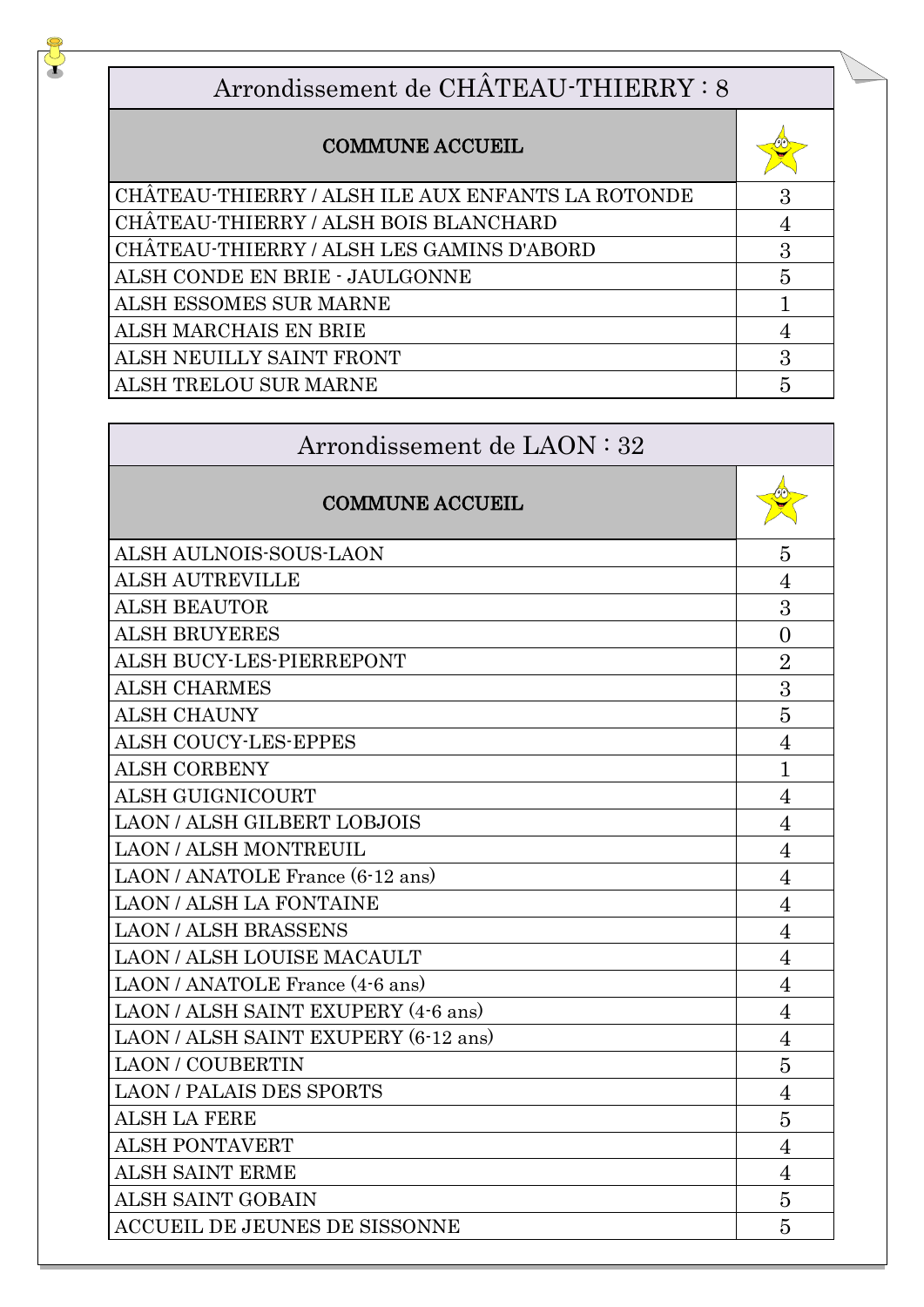## Arrondissement de CHÂTEAU-THIERRY : 8

## COMMUNE ACCUEIL

J

| <b>COMMUNE ACCUEIL</b>                            |   |
|---------------------------------------------------|---|
| CHÂTEAU-THIERRY / ALSH ILE AUX ENFANTS LA ROTONDE | 3 |
| CHÂTEAU-THIERRY / ALSH BOIS BLANCHARD             |   |
| CHÂTEAU-THIERRY / ALSH LES GAMINS D'ABORD         | 3 |
| ALSH CONDE EN BRIE - JAULGONNE                    | 5 |
| ALSH ESSOMES SUR MARNE                            |   |
| ALSH MARCHAIS EN BRIE                             |   |
| ALSH NEUILLY SAINT FRONT                          | 3 |
| ALSH TRELOU SUR MARNE                             |   |

| Arrondissement de LAON : 32          |                |  |
|--------------------------------------|----------------|--|
| <b>COMMUNE ACCUEIL</b>               |                |  |
| ALSH AULNOIS-SOUS-LAON               | 5              |  |
| <b>ALSH AUTREVILLE</b>               | $\overline{4}$ |  |
| <b>ALSH BEAUTOR</b>                  | 3              |  |
| <b>ALSH BRUYERES</b>                 | $\theta$       |  |
| ALSH BUCY-LES-PIERREPONT             | $\overline{2}$ |  |
| <b>ALSH CHARMES</b>                  | 3              |  |
| <b>ALSH CHAUNY</b>                   | 5              |  |
| <b>ALSH COUCY-LES-EPPES</b>          | $\overline{4}$ |  |
| <b>ALSH CORBENY</b>                  | $\mathbf 1$    |  |
| <b>ALSH GUIGNICOURT</b>              | 4              |  |
| <b>LAON / ALSH GILBERT LOBJOIS</b>   | $\overline{4}$ |  |
| <b>LAON/ALSH MONTREUIL</b>           | 4              |  |
| LAON / ANATOLE France (6-12 ans)     | $\overline{4}$ |  |
| <b>LAON/ALSH LA FONTAINE</b>         | 4              |  |
| <b>LAON/ALSH BRASSENS</b>            | $\overline{4}$ |  |
| <b>LAON / ALSH LOUISE MACAULT</b>    | $\overline{4}$ |  |
| LAON/ANATOLE France (4-6 ans)        | $\overline{4}$ |  |
| LAON / ALSH SAINT EXUPERY (4-6 ans)  | $\overline{4}$ |  |
| LAON / ALSH SAINT EXUPERY (6-12 ans) | $\overline{4}$ |  |
| <b>LAON / COUBERTIN</b>              | 5              |  |
| <b>LAON / PALAIS DES SPORTS</b>      | $\overline{4}$ |  |
| <b>ALSH LA FERE</b>                  | 5              |  |
| <b>ALSH PONTAVERT</b>                | $\overline{4}$ |  |
| <b>ALSH SAINT ERME</b>               | 4              |  |
| <b>ALSH SAINT GOBAIN</b>             | 5              |  |
| <b>ACCUEIL DE JEUNES DE SISSONNE</b> | 5              |  |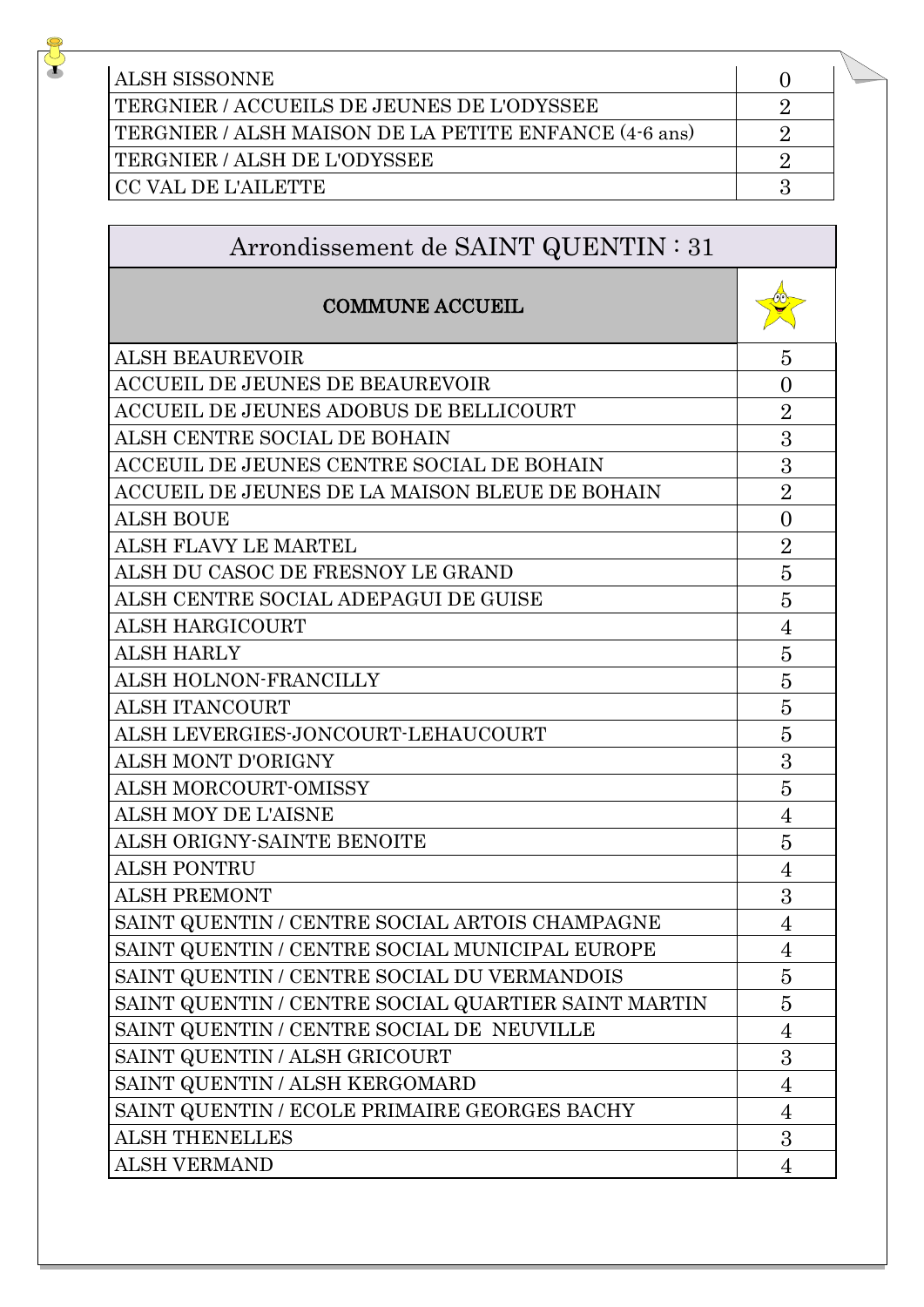| <b>ALSH SISSONNE</b>                                  |  |
|-------------------------------------------------------|--|
| TERGNIER / ACCUEILS DE JEUNES DE L'ODYSSEE            |  |
| TERGNIER / ALSH MAISON DE LA PETITE ENFANCE (4-6 ans) |  |
| TERGNIER / ALSH DE L'ODYSSEE                          |  |
| CC VAL DE L'AILETTE                                   |  |

 $\frac{1}{\sqrt{2}}$ 

| Arrondissement de SAINT QUENTIN : 31 |  |  |  |  |  |
|--------------------------------------|--|--|--|--|--|
|--------------------------------------|--|--|--|--|--|

| <b>COMMUNE ACCUEIL</b>                              |                |
|-----------------------------------------------------|----------------|
| <b>ALSH BEAUREVOIR</b>                              | 5              |
| ACCUEIL DE JEUNES DE BEAUREVOIR                     | $\overline{0}$ |
| ACCUEIL DE JEUNES ADOBUS DE BELLICOURT              | $\overline{2}$ |
| ALSH CENTRE SOCIAL DE BOHAIN                        | 3              |
| ACCEUIL DE JEUNES CENTRE SOCIAL DE BOHAIN           | 3              |
| ACCUEIL DE JEUNES DE LA MAISON BLEUE DE BOHAIN      | $\overline{2}$ |
| <b>ALSH BOUE</b>                                    | $\overline{0}$ |
| <b>ALSH FLAVY LE MARTEL</b>                         | $\overline{2}$ |
| ALSH DU CASOC DE FRESNOY LE GRAND                   | 5              |
| ALSH CENTRE SOCIAL ADEPAGUI DE GUISE                | 5              |
| ALSH HARGICOURT                                     | 4              |
| <b>ALSH HARLY</b>                                   | 5              |
| ALSH HOLNON-FRANCILLY                               | 5              |
| <b>ALSH ITANCOURT</b>                               | 5              |
| ALSH LEVERGIES-JONCOURT-LEHAUCOURT                  | 5              |
| <b>ALSH MONT D'ORIGNY</b>                           | 3              |
| <b>ALSH MORCOURT-OMISSY</b>                         | 5              |
| <b>ALSH MOY DE L'AISNE</b>                          | 4              |
| ALSH ORIGNY-SAINTE BENOITE                          | 5              |
| ALSH PONTRU                                         | $\overline{4}$ |
| <b>ALSH PREMONT</b>                                 | 3              |
| SAINT QUENTIN / CENTRE SOCIAL ARTOIS CHAMPAGNE      | 4              |
| SAINT QUENTIN / CENTRE SOCIAL MUNICIPAL EUROPE      | $\overline{4}$ |
| SAINT QUENTIN / CENTRE SOCIAL DU VERMANDOIS         | 5              |
| SAINT QUENTIN / CENTRE SOCIAL QUARTIER SAINT MARTIN | 5              |
| SAINT QUENTIN / CENTRE SOCIAL DE NEUVILLE           | $\overline{4}$ |
| SAINT QUENTIN / ALSH GRICOURT                       | 3              |
| SAINT QUENTIN / ALSH KERGOMARD                      | 4              |
| SAINT QUENTIN / ECOLE PRIMAIRE GEORGES BACHY        | $\overline{4}$ |
| <b>ALSH THENELLES</b>                               | 3              |
| <b>ALSH VERMAND</b>                                 | 4              |